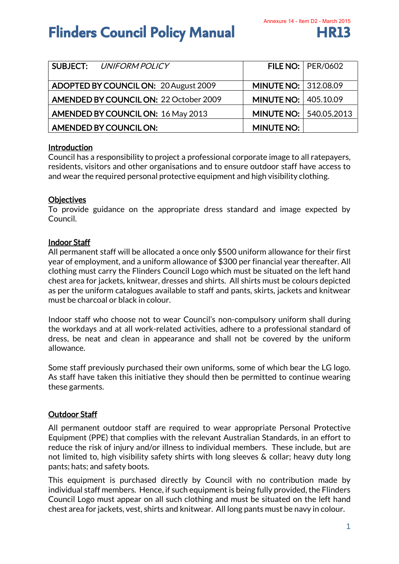## **Flinders Council Policy Manual FR13**

| <b>SUBJECT: UNIFORM POLICY</b>               |                                 | <b>FILE NO:   PER/0602</b> |
|----------------------------------------------|---------------------------------|----------------------------|
| <b>ADOPTED BY COUNCIL ON: 20 August 2009</b> | <b>MINUTE NO: 312.08.09</b>     |                            |
| AMENDED BY COUNCIL ON: 22 October 2009       | <b>MINUTE NO:   405.10.09</b>   |                            |
| <b>AMENDED BY COUNCIL ON: 16 May 2013</b>    | <b>MINUTE NO:   540.05.2013</b> |                            |
| AMENDED BY COUNCIL ON:                       | <b>MINUTE NO:</b>               |                            |

## Introduction

Council has a responsibility to project a professional corporate image to all ratepayers, residents, visitors and other organisations and to ensure outdoor staff have access to and wear the required personal protective equipment and high visibility clothing.

## **Objectives**

To provide guidance on the appropriate dress standard and image expected by Council.

## Indoor Staff

All permanent staff will be allocated a once only \$500 uniform allowance for their first year of employment, and a uniform allowance of \$300 per financial year thereafter. All clothing must carry the Flinders Council Logo which must be situated on the left hand chest area for jackets, knitwear, dresses and shirts. All shirts must be colours depicted as per the uniform catalogues available to staff and pants, skirts, jackets and knitwear must be charcoal or black in colour.

Indoor staff who choose not to wear Council's non-compulsory uniform shall during the workdays and at all work-related activities, adhere to a professional standard of dress, be neat and clean in appearance and shall not be covered by the uniform allowance.

Some staff previously purchased their own uniforms, some of which bear the LG logo. As staff have taken this initiative they should then be permitted to continue wearing these garments.

## Outdoor Staff

All permanent outdoor staff are required to wear appropriate Personal Protective Equipment (PPE) that complies with the relevant Australian Standards, in an effort to reduce the risk of injury and/or illness to individual members. These include, but are not limited to, high visibility safety shirts with long sleeves & collar; heavy duty long pants; hats; and safety boots.

This equipment is purchased directly by Council with no contribution made by individual staff members. Hence, if such equipment is being fully provided, the Flinders Council Logo must appear on all such clothing and must be situated on the left hand chest area for jackets, vest, shirts and knitwear. All long pants must be navy in colour.